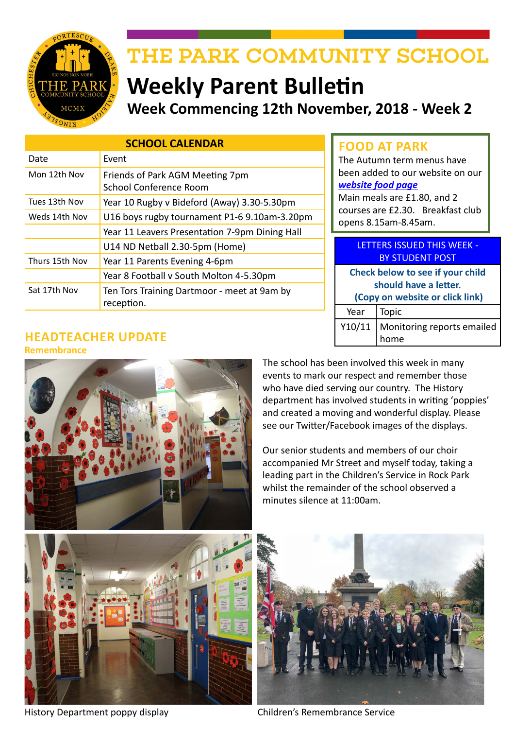

# THE PARK COMMUNITY SCHOOL

# **Weekly Parent Bulletin Week Commencing 12th November, 2018 - Week 2**

| <b>SCHOOL CALENDAR</b> |                                                           |  |
|------------------------|-----------------------------------------------------------|--|
| Date                   | Event                                                     |  |
| Mon 12th Nov           | Friends of Park AGM Meeting 7pm<br>School Conference Room |  |
| Tues 13th Nov          | Year 10 Rugby v Bideford (Away) 3.30-5.30pm               |  |
| Weds 14th Nov          | U16 boys rugby tournament P1-6 9.10am-3.20pm              |  |
|                        | Year 11 Leavers Presentation 7-9pm Dining Hall            |  |
|                        | U14 ND Netball 2.30-5pm (Home)                            |  |
| Thurs 15th Nov         | Year 11 Parents Evening 4-6pm                             |  |
|                        | Year 8 Football v South Molton 4-5.30pm                   |  |
| Sat 17th Nov           | Ten Tors Training Dartmoor - meet at 9am by<br>reception. |  |

# **FOOD AT PARK**

The Autumn term menus have been added to our website on our *[website food page](http://www.theparkschool.org.uk/food-park)*

Main meals are £1.80, and 2 courses are £2.30. Breakfast club opens 8.15am-8.45am.

| <b>LETTERS ISSUED THIS WEEK -</b><br><b>BY STUDENT POST</b>                                  |                                     |  |
|----------------------------------------------------------------------------------------------|-------------------------------------|--|
| Check below to see if your child<br>should have a letter.<br>(Copy on website or click link) |                                     |  |
| Year                                                                                         | Topic                               |  |
|                                                                                              | Y10/11   Monitoring reports emailed |  |

#### **HEADTEACHER UPDATE Remembrance**



The school has been involved this week in many events to mark our respect and remember those who have died serving our country. The History department has involved students in writing 'poppies' and created a moving and wonderful display. Please see our Twitter/Facebook images of the displays.

Our senior students and members of our choir accompanied Mr Street and myself today, taking a leading part in the Children's Service in Rock Park whilst the remainder of the school observed a minutes silence at 11:00am.



History Department poppy display Children's Remembrance Service

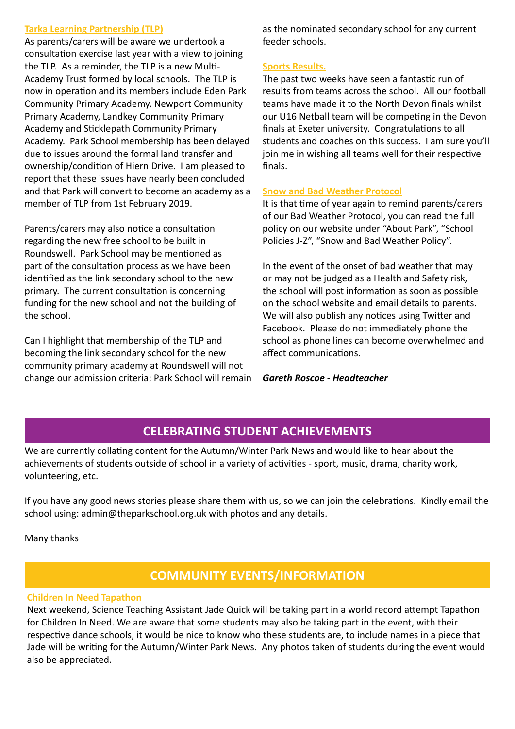#### **Tarka Learning Partnership (TLP)**

As parents/carers will be aware we undertook a consultation exercise last year with a view to joining the TLP. As a reminder, the TLP is a new Multi-Academy Trust formed by local schools. The TLP is now in operation and its members include Eden Park Community Primary Academy, Newport Community Primary Academy, Landkey Community Primary Academy and Sticklepath Community Primary Academy. Park School membership has been delayed due to issues around the formal land transfer and ownership/condition of Hiern Drive. I am pleased to report that these issues have nearly been concluded and that Park will convert to become an academy as a member of TLP from 1st February 2019.

Parents/carers may also notice a consultation regarding the new free school to be built in Roundswell. Park School may be mentioned as part of the consultation process as we have been identified as the link secondary school to the new primary. The current consultation is concerning funding for the new school and not the building of the school.

Can I highlight that membership of the TLP and becoming the link secondary school for the new community primary academy at Roundswell will not change our admission criteria; Park School will remain as the nominated secondary school for any current feeder schools.

#### **Sports Results.**

The past two weeks have seen a fantastic run of results from teams across the school. All our football teams have made it to the North Devon finals whilst our U16 Netball team will be competing in the Devon finals at Exeter university. Congratulations to all students and coaches on this success. I am sure you'll join me in wishing all teams well for their respective finals.

#### **Snow and Bad Weather Protocol**

It is that time of year again to remind parents/carers of our Bad Weather Protocol, you can read the full policy on our website under "About Park", "School Policies J-Z", "Snow and Bad Weather Policy".

In the event of the onset of bad weather that may or may not be judged as a Health and Safety risk, the school will post information as soon as possible on the school website and email details to parents. We will also publish any notices using Twitter and Facebook. Please do not immediately phone the school as phone lines can become overwhelmed and affect communications.

*Gareth Roscoe - Headteacher*

# **CELEBRATING STUDENT ACHIEVEMENTS**

We are currently collating content for the Autumn/Winter Park News and would like to hear about the achievements of students outside of school in a variety of activities - sport, music, drama, charity work, volunteering, etc.

If you have any good news stories please share them with us, so we can join the celebrations. Kindly email the school using: admin@theparkschool.org.uk with photos and any details.

Many thanks

# **COMMUNITY EVENTS/INFORMATION**

#### **Children In Need Tapathon**

Next weekend, Science Teaching Assistant Jade Quick will be taking part in a world record attempt Tapathon for Children In Need. We are aware that some students may also be taking part in the event, with their respective dance schools, it would be nice to know who these students are, to include names in a piece that Jade will be writing for the Autumn/Winter Park News. Any photos taken of students during the event would also be appreciated.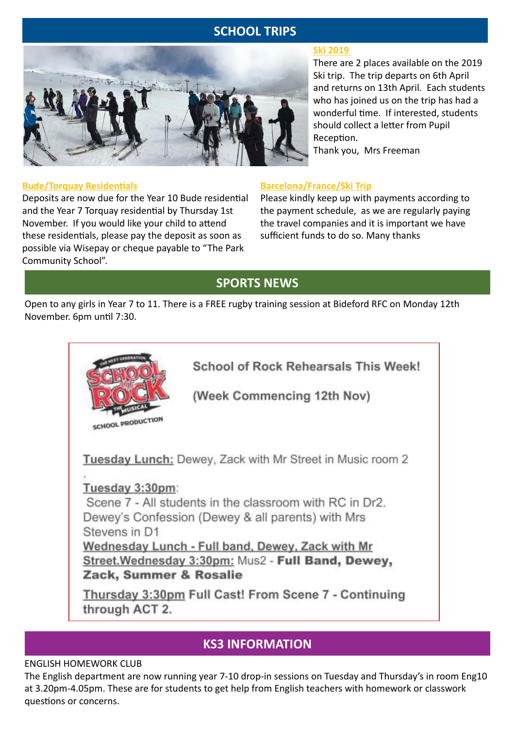# **SCHOOL TRIPS**



#### **Bude/Torquay Residentials**

Deposits are now due for the Year 10 Bude residential and the Year 7 Torquay residential by Thursday 1st November. If you would like your child to attend these residentials, please pay the deposit as soon as possible via Wisepay or cheque payable to "The Park Community School".

#### **Ski 2019**

There are 2 places available on the 2019 Ski trip. The trip departs on 6th April and returns on 13th April. Each students who has joined us on the trip has had a wonderful time. If interested, students should collect a letter from Pupil Reception.

Thank you, Mrs Freeman

## **Barcelona/France/Ski Trip**

Please kindly keep up with payments according to the payment schedule, as we are regularly paying the travel companies and it is important we have sufficient funds to do so. Many thanks

# **SPORTS NEWS**

Open to any girls in Year 7 to 11. There is a FREE rugby training session at Bideford RFC on Monday 12th November. 6pm until 7:30.



## **KS3 INFORMATION**

#### ENGLISH HOMEWORK CLUB

The English department are now running year 7-10 drop-in sessions on Tuesday and Thursday's in room Eng10 at 3.20pm-4.05pm. These are for students to get help from English teachers with homework or classwork questions or concerns.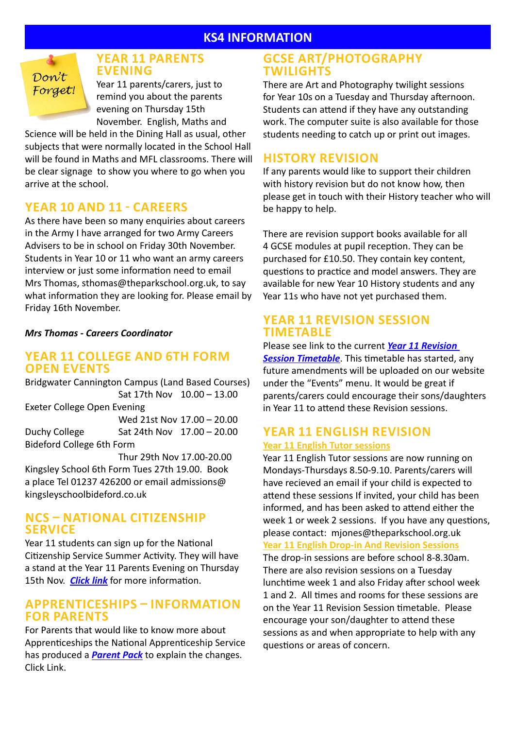## **KS4 INFORMATION**



## **YEAR 11 PARENTS EVENING**

Year 11 parents/carers, just to remind you about the parents evening on Thursday 15th November. English, Maths and

Science will be held in the Dining Hall as usual, other subjects that were normally located in the School Hall will be found in Maths and MFL classrooms. There will be clear signage to show you where to go when you arrive at the school.

## **YEAR 10 AND 11 - CAREERS**

As there have been so many enquiries about careers in the Army I have arranged for two Army Careers Advisers to be in school on Friday 30th November. Students in Year 10 or 11 who want an army careers interview or just some information need to email Mrs Thomas, sthomas@theparkschool.org.uk, to say what information they are looking for. Please email by Friday 16th November.

*Mrs Thomas - Careers Coordinator*

## **YEAR 11 COLLEGE AND 6TH FORM OPEN EVENTS**

Bridgwater Cannington Campus (Land Based Courses) Sat 17th Nov 10.00 – 13.00 Exeter College Open Evening Wed 21st Nov 17.00 – 20.00 Duchy College Sat 24th Nov  $17.00 - 20.00$ Bideford College 6th Form Thur 29th Nov 17.00-20.00 Kingsley School 6th Form Tues 27th 19.00. Book

a place Tel 01237 426200 or email admissions@ kingsleyschoolbideford.co.uk

## **NCS – NATIONAL CITIZENSHIP SERVICE**

Year 11 students can sign up for the National Citizenship Service Summer Activity. They will have a stand at the Year 11 Parents Evening on Thursday 15th Nov. *[Click link](http://www.theparkschool.org.uk/sites/default/files/NCS-Summer19-Parent-Information.pdf)* for more information.

## **APPRENTICESHIPS – INFORMATION FOR PARENTS**

For Parents that would like to know more about Apprenticeships the National Apprenticeship Service has produced a *[Parent Pack](http://www.theparkschool.org.uk/sites/default/files/AmazingApprenticeshipsParentPack-Oct18.pdf)* to explain the changes. Click Link.

## **GCSE ART/PHOTOGRAPHY TWILIGHTS**

There are Art and Photography twilight sessions for Year 10s on a Tuesday and Thursday afternoon. Students can attend if they have any outstanding work. The computer suite is also available for those students needing to catch up or print out images.

## **HISTORY REVISION**

If any parents would like to support their children with history revision but do not know how, then please get in touch with their History teacher who will be happy to help.

There are revision support books available for all 4 GCSE modules at pupil reception. They can be purchased for £10.50. They contain key content, questions to practice and model answers. They are available for new Year 10 History students and any Year 11s who have not yet purchased them.

## **YEAR 11 REVISION SESSION TIMETABLE**

## Please see link to the current *[Year 11 Revision](https://docs.google.com/document/d/1dNMh7-L1kyihGF64pufxK6rpksF0LmhP7VMcilHf7oM/edit?usp=sharing)  [Session Timetable](https://docs.google.com/document/d/1dNMh7-L1kyihGF64pufxK6rpksF0LmhP7VMcilHf7oM/edit?usp=sharing)*. This timetable has started, any future amendments will be uploaded on our website under the "Events" menu. It would be great if parents/carers could encourage their sons/daughters in Year 11 to attend these Revision sessions.

## **YEAR 11 ENGLISH REVISION Year 11 English Tutor sessions**

Year 11 English Tutor sessions are now running on Mondays-Thursdays 8.50-9.10. Parents/carers will have recieved an email if your child is expected to attend these sessions If invited, your child has been informed, and has been asked to attend either the week 1 or week 2 sessions. If you have any questions, please contact: mjones@theparkschool.org.uk

**Year 11 English Drop-in And Revision Sessions**

The drop-in sessions are before school 8-8.30am. There are also revision sessions on a Tuesday lunchtime week 1 and also Friday after school week 1 and 2. All times and rooms for these sessions are on the Year 11 Revision Session timetable. Please encourage your son/daughter to attend these sessions as and when appropriate to help with any questions or areas of concern.